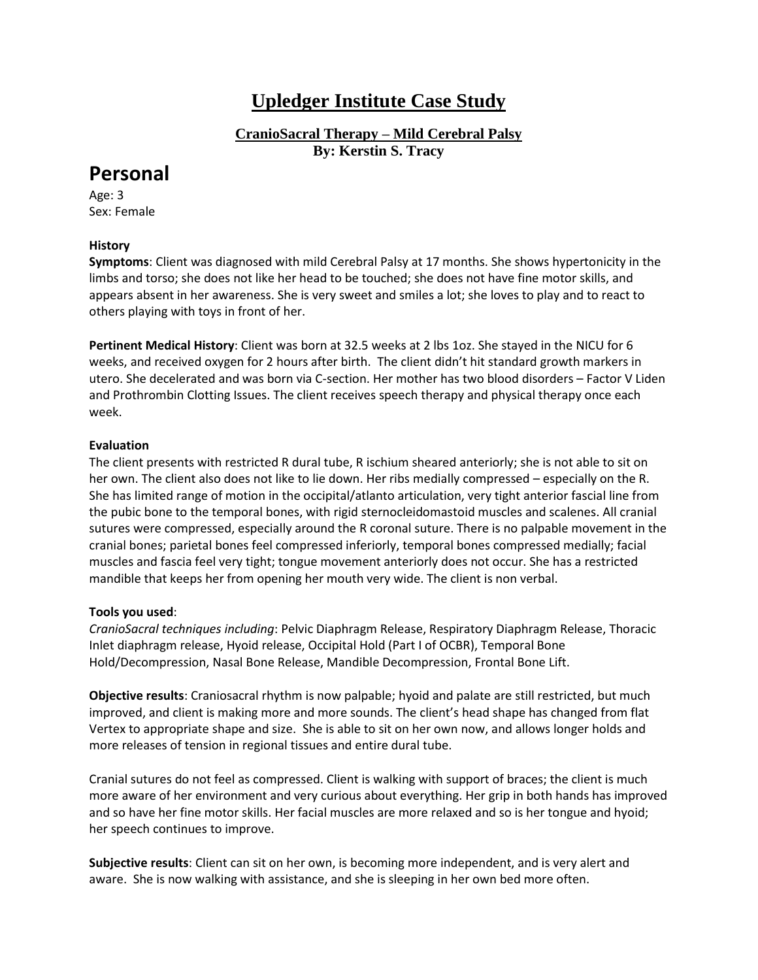# **Upledger Institute Case Study**

**CranioSacral Therapy – Mild Cerebral Palsy By: Kerstin S. Tracy**

# **Personal**

Age: 3 Sex: Female

## **History**

**Symptoms**: Client was diagnosed with mild Cerebral Palsy at 17 months. She shows hypertonicity in the limbs and torso; she does not like her head to be touched; she does not have fine motor skills, and appears absent in her awareness. She is very sweet and smiles a lot; she loves to play and to react to others playing with toys in front of her.

**Pertinent Medical History**: Client was born at 32.5 weeks at 2 lbs 1oz. She stayed in the NICU for 6 weeks, and received oxygen for 2 hours after birth. The client didn't hit standard growth markers in utero. She decelerated and was born via C-section. Her mother has two blood disorders – Factor V Liden and Prothrombin Clotting Issues. The client receives speech therapy and physical therapy once each week.

### **Evaluation**

The client presents with restricted R dural tube, R ischium sheared anteriorly; she is not able to sit on her own. The client also does not like to lie down. Her ribs medially compressed – especially on the R. She has limited range of motion in the occipital/atlanto articulation, very tight anterior fascial line from the pubic bone to the temporal bones, with rigid sternocleidomastoid muscles and scalenes. All cranial sutures were compressed, especially around the R coronal suture. There is no palpable movement in the cranial bones; parietal bones feel compressed inferiorly, temporal bones compressed medially; facial muscles and fascia feel very tight; tongue movement anteriorly does not occur. She has a restricted mandible that keeps her from opening her mouth very wide. The client is non verbal.

### **Tools you used**:

*CranioSacral techniques including*: Pelvic Diaphragm Release, Respiratory Diaphragm Release, Thoracic Inlet diaphragm release, Hyoid release, Occipital Hold (Part I of OCBR), Temporal Bone Hold/Decompression, Nasal Bone Release, Mandible Decompression, Frontal Bone Lift.

**Objective results**: Craniosacral rhythm is now palpable; hyoid and palate are still restricted, but much improved, and client is making more and more sounds. The client's head shape has changed from flat Vertex to appropriate shape and size. She is able to sit on her own now, and allows longer holds and more releases of tension in regional tissues and entire dural tube.

Cranial sutures do not feel as compressed. Client is walking with support of braces; the client is much more aware of her environment and very curious about everything. Her grip in both hands has improved and so have her fine motor skills. Her facial muscles are more relaxed and so is her tongue and hyoid; her speech continues to improve.

**Subjective results**: Client can sit on her own, is becoming more independent, and is very alert and aware. She is now walking with assistance, and she is sleeping in her own bed more often.